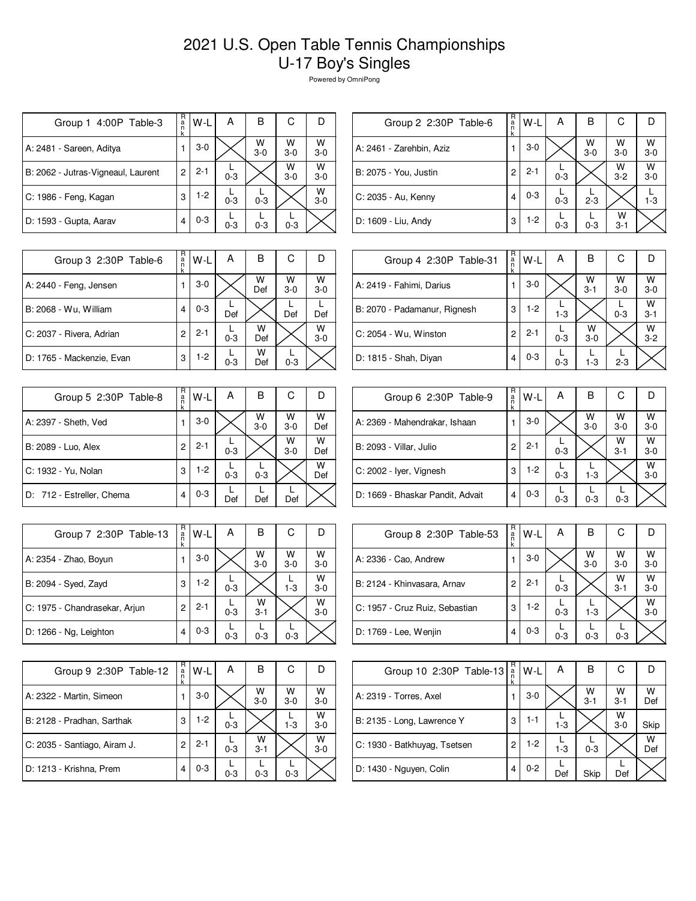## 2021 U.S. Open Table Tennis Championships U-17 Boy's Singles

Powered by OmniPong

| Group 1 4:00P Table-3              | R<br>a<br>ñ<br>k | W-L     | А       | B          | С          | D            |
|------------------------------------|------------------|---------|---------|------------|------------|--------------|
| A: 2481 - Sareen, Aditya           |                  | $3-0$   |         | W<br>$3-0$ | W<br>$3-0$ | W<br>$3-0$   |
| B: 2062 - Jutras-Vigneaul, Laurent | 2                | $2 - 1$ | $0 - 3$ |            | W<br>$3-0$ | W<br>$3 - 0$ |
| C: 1986 - Feng, Kagan              | 3                | $1-2$   | $0 - 3$ | $0 - 3$    |            | W<br>$3-0$   |
| D: 1593 - Gupta, Aarav             | 4                | $0 - 3$ | $0 - 3$ | $0 - 3$    | $0 - 3$    |              |

| R<br>a<br>n<br>k | W-L     | Α       | В            | С            |            |
|------------------|---------|---------|--------------|--------------|------------|
|                  | $3-0$   |         | W<br>$3 - 0$ | W<br>$3-0$   | W<br>$3-0$ |
| 2                | $2 - 1$ | $0 - 3$ |              | W<br>$3-2$   | W<br>$3-0$ |
| 4                | $0 - 3$ | $0 - 3$ | $2 - 3$      |              | $1 - 3$    |
| 3                | $1-2$   | $0 - 3$ | $0 - 3$      | W<br>$3 - 1$ |            |
|                  |         |         |              |              |            |

| Group 3 2:30P Table-6     | R<br>a<br>k | W-L     | А       | в        | С          |              |
|---------------------------|-------------|---------|---------|----------|------------|--------------|
| A: 2440 - Feng, Jensen    |             | $3-0$   |         | W<br>Def | w<br>$3-0$ | W<br>$3-0$   |
| B: 2068 - Wu, William     | 4           | $0 - 3$ | Def     |          | Def        | Def          |
| C: 2037 - Rivera, Adrian  | 2           | $2 - 1$ | $0 - 3$ | W<br>Def |            | W<br>$3 - 0$ |
| D: 1765 - Mackenzie, Evan | 3           | $1-2$   | $0 - 3$ | w<br>Def | $0 - 3$    |              |

| Group 5 2:30P Table-8     | R<br>a<br>k | W-L     | Α       | В          | С          |          |
|---------------------------|-------------|---------|---------|------------|------------|----------|
| A: 2397 - Sheth, Ved      |             | $3-0$   |         | W<br>$3-0$ | W<br>$3-0$ | W<br>Def |
| B: 2089 - Luo, Alex       | 2           | $2 - 1$ | $0 - 3$ |            | W<br>$3-0$ | W<br>Def |
| C: 1932 - Yu, Nolan       | 3           | $1-2$   | $0 - 3$ | $0 - 3$    |            | W<br>Def |
| D: 712 - Estreller, Chema | 4           | $0 - 3$ | Def     | Def        | Def        |          |

| Group 7 2:30P Table-13        | R<br>a<br>n<br>k | W-L     | А       | в            | С            |              |
|-------------------------------|------------------|---------|---------|--------------|--------------|--------------|
| A: 2354 - Zhao, Boyun         |                  | $3-0$   |         | W<br>$3 - 0$ | W<br>$3 - 0$ | W<br>$3 - 0$ |
| B: 2094 - Syed, Zayd          | 3                | $1 - 2$ | $0 - 3$ |              | $1 - 3$      | W<br>$3 - 0$ |
| C: 1975 - Chandrasekar, Arjun | 2                | $2 - 1$ | $0 - 3$ | W<br>$3 - 1$ |              | W<br>$3 - 0$ |
| D: 1266 - Ng, Leighton        | 4                | $0 - 3$ | $0 - 3$ | $0 - 3$      | $0 - 3$      |              |

| Group 9 2:30P Table-12       | R<br>a<br>n<br>k | W-L     | А       | в            | С          |              |
|------------------------------|------------------|---------|---------|--------------|------------|--------------|
| A: 2322 - Martin, Simeon     |                  | $3-0$   |         | W<br>$3-0$   | w<br>$3-0$ | W<br>$3-0$   |
| B: 2128 - Pradhan, Sarthak   | 3                | $1-2$   | $0 - 3$ |              | $1 - 3$    | W<br>$3-0$   |
| C: 2035 - Santiago, Airam J. | 2                | $2 - 1$ | $0 - 3$ | W<br>$3 - 1$ |            | W<br>$3 - 0$ |
| D: 1213 - Krishna, Prem      |                  | $0 - 3$ | $0 - 3$ | $0 - 3$      | $0 - 3$    |              |

| Group 4 2:30P Table-31       | R<br>a<br>k | $W-L$   | A       | в            | C          |              |
|------------------------------|-------------|---------|---------|--------------|------------|--------------|
| A: 2419 - Fahimi, Darius     |             | $3-0$   |         | W<br>$3 - 1$ | W<br>$3-0$ | W<br>$3 - 0$ |
| B: 2070 - Padamanur, Rignesh | 3           | $1-2$   | $1-3$   |              | $0 - 3$    | W<br>$3 - 1$ |
| C: 2054 - Wu, Winston        | 2           | $2 - 1$ | $0 - 3$ | w<br>$3-0$   |            | W<br>$3 - 2$ |
| D: 1815 - Shah, Diyan        | 4           | $0 - 3$ | $0 - 3$ | $1 - 3$      | $2 - 3$    |              |

| Group 6 2:30P Table-9            | R<br>a | W-L     | Α       | в          | С            |            |
|----------------------------------|--------|---------|---------|------------|--------------|------------|
| A: 2369 - Mahendrakar, Ishaan    |        | $3-0$   |         | W<br>$3-0$ | W<br>$3-0$   | w<br>$3-0$ |
| B: 2093 - Villar, Julio          | 2      | $2 - 1$ | $0 - 3$ |            | W<br>$3 - 1$ | W<br>$3-0$ |
| C: 2002 - Iyer, Vignesh          | 3      | $1-2$   | $0 - 3$ | $1 - 3$    |              | W<br>$3-0$ |
| D: 1669 - Bhaskar Pandit, Advait | 4      | $0 - 3$ | $0 - 3$ | $0 - 3$    | $0 - 3$      |            |

| Group 8 2:30P Table-53         | R<br>$\frac{a}{n}$ | W-L     | А       | B          | С            |            |
|--------------------------------|--------------------|---------|---------|------------|--------------|------------|
| A: 2336 - Cao, Andrew          |                    | $3-0$   |         | w<br>$3-0$ | W<br>$3 - 0$ | W<br>$3-0$ |
| B: 2124 - Khinvasara, Arnav    | 2                  | $2 - 1$ | $0 - 3$ |            | W<br>$3 - 1$ | W<br>$3-0$ |
| C: 1957 - Cruz Ruiz, Sebastian | 3                  | $1-2$   | $0 - 3$ | $1 - 3$    |              | W<br>$3-0$ |
| D: 1769 - Lee, Wenjin          | 4                  | $0 - 3$ | $0 - 3$ | $0 - 3$    | $0 - 3$      |            |

| Group 10 2:30P Table-13      | R<br>$\frac{a}{n}$ | W-L     | Α       | В          | С            |          |
|------------------------------|--------------------|---------|---------|------------|--------------|----------|
| A: 2319 - Torres, Axel       |                    | $3-0$   |         | W<br>$3-1$ | W<br>$3 - 1$ | W<br>Def |
| B: 2135 - Long, Lawrence Y   | 3                  | 1-1     | $1 - 3$ |            | W<br>$3-0$   | Skip     |
| C: 1930 - Batkhuyag, Tsetsen | 2                  | $1-2$   | $1 - 3$ | $0 - 3$    |              | W<br>Def |
| D: 1430 - Nguyen, Colin      | 4                  | $0 - 2$ | Def     | Skip       | Def          |          |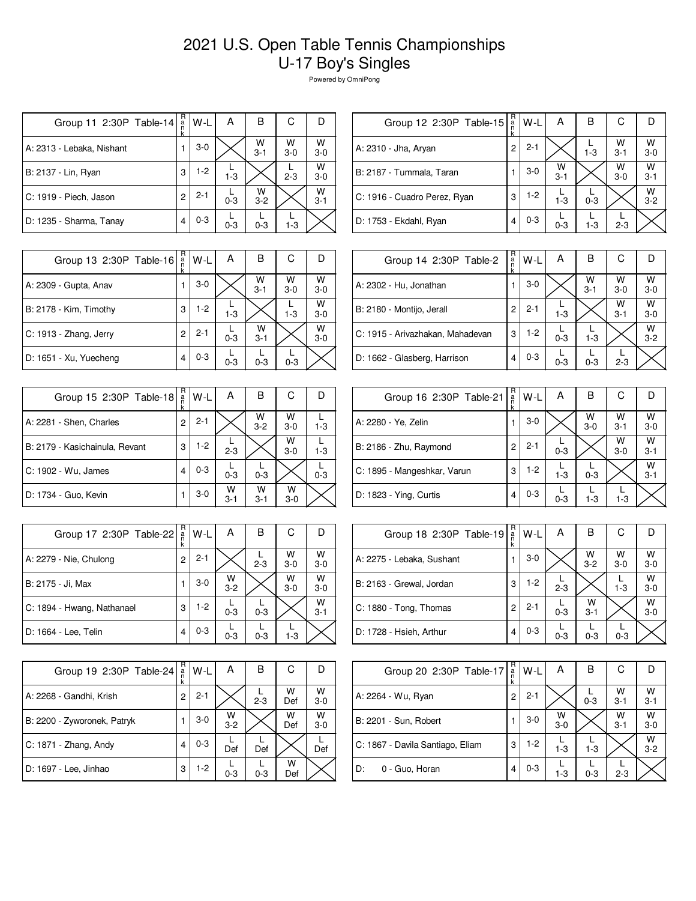## 2021 U.S. Open Table Tennis Championships U-17 Boy's Singles

Powered by OmniPong

| Group 11 2:30P Table-14   | $_{n}^{\text{R}}$<br>k | W-L     | А       | в            | С          |              |
|---------------------------|------------------------|---------|---------|--------------|------------|--------------|
| A: 2313 - Lebaka, Nishant |                        | $3-0$   |         | W<br>$3 - 1$ | W<br>$3-0$ | W<br>$3-0$   |
| B: 2137 - Lin, Ryan       | 3                      | $1-2$   | $1 - 3$ |              | $2 - 3$    | W<br>$3-0$   |
| C: 1919 - Piech, Jason    | 2                      | $2 - 1$ | $0 - 3$ | w<br>$3 - 2$ |            | W<br>$3 - 1$ |
| D: 1235 - Sharma, Tanay   | 4                      | $0 - 3$ | $0 - 3$ | $0 - 3$      | $1 - 3$    |              |

| Group 12 2:30P Table-15      | R<br>$\frac{a}{n}$<br>k | W-L     | Α            | в       | С            |              |
|------------------------------|-------------------------|---------|--------------|---------|--------------|--------------|
| A: 2310 - Jha, Aryan         | 2                       | $2 - 1$ |              | $1 - 3$ | W<br>$3 - 1$ | w<br>$3-0$   |
| B: 2187 - Tummala, Taran     |                         | $3-0$   | W<br>$3 - 1$ |         | W<br>$3-0$   | W<br>$3 - 1$ |
| C: 1916 - Cuadro Perez, Ryan | 3                       | $1-2$   | $1-3$        | $0 - 3$ |              | W<br>$3 - 2$ |
| D: 1753 - Ekdahl, Ryan       | 4                       | $0 - 3$ | $0 - 3$      | $1 - 3$ | $2 - 3$      |              |
|                              |                         |         |              |         |              |              |

| Group 13 2:30P Table-16 | R<br>a<br>k | W-L     | А       | в            | С          |              |
|-------------------------|-------------|---------|---------|--------------|------------|--------------|
| A: 2309 - Gupta, Anav   |             | $3-0$   |         | W<br>$3 - 1$ | W<br>$3-0$ | W<br>$3-0$   |
| B: 2178 - Kim, Timothy  | 3           | $1-2$   | $1 - 3$ |              | $1 - 3$    | W<br>$3 - 0$ |
| C: 1913 - Zhang, Jerry  | 2           | $2 - 1$ | $0 - 3$ | W<br>$3 - 1$ |            | W<br>$3 - 0$ |
| D: 1651 - Xu, Yuecheng  | 4           | $0 - 3$ | $0 - 3$ | $0 - 3$      | $0 - 3$    |              |

| Group 15 2:30P Table-18        | R<br>a<br>n<br>k | W-L     | А            | В            | С          |         |
|--------------------------------|------------------|---------|--------------|--------------|------------|---------|
| A: 2281 - Shen, Charles        | 2                | $2 - 1$ |              | W<br>$3 - 2$ | W<br>$3-0$ | $1 - 3$ |
| B: 2179 - Kasichainula, Revant | 3                | $1-2$   | $2 - 3$      |              | W<br>$3-0$ | $1 - 3$ |
| C: 1902 - Wu, James            | 4                | $0 - 3$ | $0 - 3$      | $0 - 3$      |            | $0 - 3$ |
| D: 1734 - Guo, Kevin           |                  | $3-0$   | W<br>$3 - 1$ | w<br>$3 - 1$ | w<br>$3-0$ |         |

| Group 17 2:30P Table-22    | R<br>$\frac{a}{n}$<br>k | W-L     | А            | в       | С          |              |
|----------------------------|-------------------------|---------|--------------|---------|------------|--------------|
| A: 2279 - Nie, Chulong     | $\overline{c}$          | $2 - 1$ |              | $2 - 3$ | w<br>$3-0$ | W<br>$3 - 0$ |
| B: 2175 - Ji, Max          |                         | $3-0$   | W<br>$3 - 2$ |         | W<br>$3-0$ | W<br>$3-0$   |
| C: 1894 - Hwang, Nathanael | 3                       | $1-2$   | $0 - 3$      | $0 - 3$ |            | W<br>$3 - 1$ |
| D: 1664 - Lee, Telin       |                         | $0 - 3$ | $0 - 3$      | $0 - 3$ | $1 - 3$    |              |

| Group 19 2:30P Table-24     | R                  | W-L     | Α            | в       | С        |            |
|-----------------------------|--------------------|---------|--------------|---------|----------|------------|
|                             | $\frac{a}{n}$<br>k |         |              |         |          |            |
| A: 2268 - Gandhi, Krish     | 2                  | $2 - 1$ |              | $2 - 3$ | w<br>Def | W<br>$3-0$ |
| B: 2200 - Zyworonek, Patryk |                    | $3-0$   | W<br>$3 - 2$ |         | W<br>Def | W<br>$3-0$ |
| C: 1871 - Zhang, Andy       | 4                  | $0 - 3$ | Def          | Def     |          | Def        |
| D: 1697 - Lee, Jinhao       | 3                  | 1-2     | $0 - 3$      | $0 - 3$ | W<br>Def |            |

| Group 14 2:30P Table-2           | R<br>a<br>n<br>k | W-L     | А       | в            | С            |              |
|----------------------------------|------------------|---------|---------|--------------|--------------|--------------|
| A: 2302 - Hu, Jonathan           |                  | $3-0$   |         | W<br>$3 - 1$ | w<br>$3 - 0$ | W<br>$3 - 0$ |
| B: 2180 - Montijo, Jerall        | 2                | $2 - 1$ | $1-3$   |              | W<br>$3 - 1$ | w<br>$3-0$   |
| C: 1915 - Arivazhakan, Mahadevan | 3                | $1-2$   | $0 - 3$ | $1 - 3$      |              | W<br>$3 - 2$ |
| D: 1662 - Glasberg, Harrison     | 4                | $0 - 3$ | $0 - 3$ | $0 - 3$      | $2 - 3$      |              |

| Group 16 2:30P Table-21     | R<br>$\frac{a}{n}$ | W-L     | Α       | в          | С            |              |
|-----------------------------|--------------------|---------|---------|------------|--------------|--------------|
| A: 2280 - Ye, Zelin         |                    | $3-0$   |         | W<br>$3-0$ | W<br>$3 - 1$ | W<br>$3 - 0$ |
| B: 2186 - Zhu, Raymond      | 2                  | $2 - 1$ | $0 - 3$ |            | W<br>$3-0$   | W<br>$3 - 1$ |
| C: 1895 - Mangeshkar, Varun | 3                  | $1-2$   | $1 - 3$ | $0 - 3$    |              | W<br>$3 - 1$ |
| D: 1823 - Ying, Curtis      | 4                  | $0 - 3$ | $0 - 3$ | $1 - 3$    | $1-3$        |              |

| Group 18 2:30P Table-19   | R<br>$\frac{a}{n}$ | W-L     | Α       | В                  | С                  |                    |
|---------------------------|--------------------|---------|---------|--------------------|--------------------|--------------------|
| A: 2275 - Lebaka, Sushant |                    | $3-0$   |         | $W$ <sub>3-2</sub> | $W$ <sub>3-0</sub> | $W$ <sub>3-0</sub> |
| B: 2163 - Grewal, Jordan  | 3                  | $1-2$   | $2 - 3$ |                    | $1-3$              | W<br>$3 - 0$       |
| C: 1880 - Tong, Thomas    | 2                  | $2 - 1$ | $0 - 3$ | W<br>$3 - 1$       |                    | W<br>$3-0$         |
| D: 1728 - Hsieh, Arthur   | 4                  | $0 - 3$ | $0 - 3$ | $0 - 3$            | $0 - 3$            |                    |

| Group 20 2:30P Table-17          | R<br>$\frac{a}{n}$ | W-L     | A          | В       | С            |              |
|----------------------------------|--------------------|---------|------------|---------|--------------|--------------|
| A: 2264 - Wu, Ryan               | 2                  | $2 - 1$ |            | $0 - 3$ | w<br>$3 - 1$ | W<br>$3 - 1$ |
| B: 2201 - Sun, Robert            |                    | $3-0$   | W<br>$3-0$ |         | W<br>$3 - 1$ | W<br>$3 - 0$ |
| C: 1867 - Davila Santiago, Eliam | 3                  | $1-2$   | $1 - 3$    | $1 - 3$ |              | W<br>$3 - 2$ |
| D:<br>0 - Guo, Horan             | 4                  | $0 - 3$ | $1 - 3$    | $0 - 3$ | $2 - 3$      |              |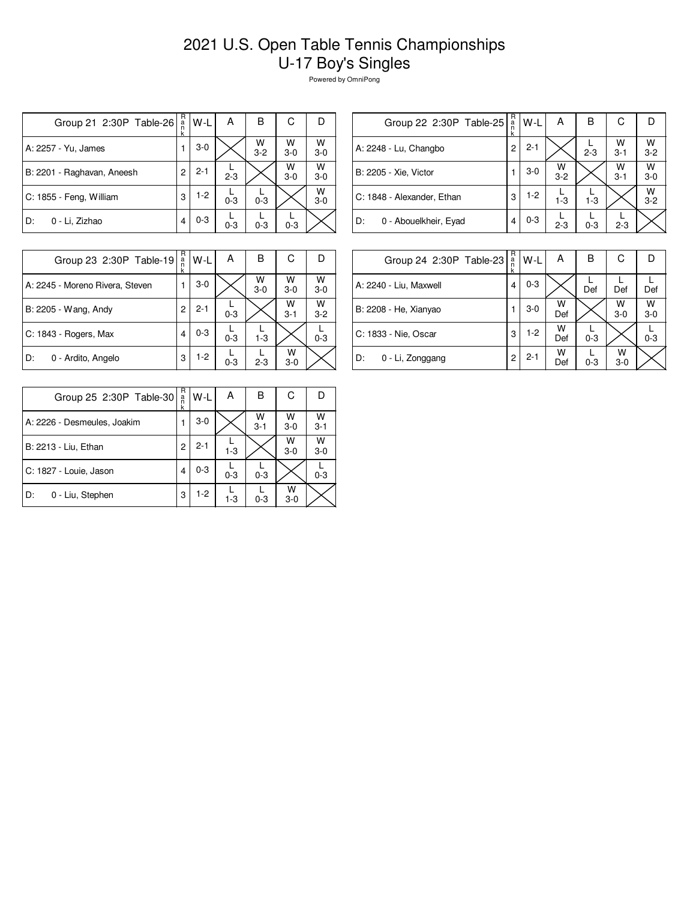## 2021 U.S. Open Table Tennis Championships U-17 Boy's Singles

Powered by OmniPong

| Group 21 2:30P Table-26    | R<br>a<br>n<br>k | $W-L$   | А       | В            | С          | D          |
|----------------------------|------------------|---------|---------|--------------|------------|------------|
| A: 2257 - Yu, James        |                  | $3-0$   |         | w<br>$3 - 2$ | W<br>$3-0$ | W<br>$3-0$ |
| B: 2201 - Raghavan, Aneesh | $\overline{c}$   | $2 - 1$ | $2 - 3$ |              | W<br>$3-0$ | W<br>$3-0$ |
| C: 1855 - Feng, William    | 3                | $1-2$   | $0 - 3$ | $0 - 3$      |            | W<br>$3-0$ |
| 0 - Li, Zizhao<br>D:       | 4                | $0 - 3$ | $0 - 3$ | $0 - 3$      | $0 - 3$    |            |

| Group 22 2:30P Table-25     | R<br>$\frac{a}{n}$ | W-L     | Α            | в       | С               |              |
|-----------------------------|--------------------|---------|--------------|---------|-----------------|--------------|
| A: 2248 - Lu, Changbo       | 2                  | $2 - 1$ |              | $2 - 3$ | $\frac{W}{3-1}$ | W<br>$3 - 2$ |
| B: 2205 - Xie, Victor       |                    | $3-0$   | W<br>$3 - 2$ |         | W<br>$3 - 1$    | W<br>$3-0$   |
| C: 1848 - Alexander, Ethan  | 3                  | $1-2$   | $1 - 3$      | $1 - 3$ |                 | W<br>$3 - 2$ |
| D:<br>0 - Abouelkheir, Eyad | 4                  | $0 - 3$ | $2 - 3$      | $0 - 3$ | $2 - 3$         |              |
|                             |                    |         |              |         |                 |              |

| Group 23 2:30P Table-19         | R<br>a<br>n<br>k | W-L     | А       | в          | С            |              |
|---------------------------------|------------------|---------|---------|------------|--------------|--------------|
| A: 2245 - Moreno Rivera, Steven |                  | $3-0$   |         | W<br>$3-0$ | W<br>$3-0$   | w<br>$3 - 0$ |
| B: 2205 - Wang, Andy            | 2                | $2 - 1$ | $0 - 3$ |            | W<br>$3 - 1$ | W<br>$3 - 2$ |
| C: 1843 - Rogers, Max           | 4                | $0 - 3$ | $0 - 3$ | $1-3$      |              | $0 - 3$      |
| D:<br>0 - Ardito, Angelo        | 3                | $1-2$   | $0 - 3$ | $2 - 3$    | W<br>$3-0$   |              |

| Group 24 2:30P Table-23 | R<br>$\frac{a}{n}$<br>k | W-L     | А        | В       | С          |            |
|-------------------------|-------------------------|---------|----------|---------|------------|------------|
| A: 2240 - Liu, Maxwell  | 4                       | $0 - 3$ |          | Def     | Def        | Def        |
| B: 2208 - He, Xianyao   |                         | $3-0$   | w<br>Def |         | W<br>$3-0$ | W<br>$3-0$ |
| C: 1833 - Nie, Oscar    | 3                       | $1-2$   | W<br>Def | $0 - 3$ |            | $0 - 3$    |
| D:<br>0 - Li, Zonggang  | 2                       | $2 - 1$ | W<br>Def | $0 - 3$ | W<br>$3-0$ |            |

| Group 25 2:30P Table-30     | R<br>a<br>k | W-L     | А       | в            | С          |              |
|-----------------------------|-------------|---------|---------|--------------|------------|--------------|
| A: 2226 - Desmeules, Joakim |             | $3-0$   |         | W<br>$3 - 1$ | W<br>$3-0$ | W<br>$3 - 1$ |
| B: 2213 - Liu, Ethan        | 2           | $2 - 1$ | $1 - 3$ |              | W<br>$3-0$ | W<br>$3-0$   |
| C: 1827 - Louie, Jason      |             | $0 - 3$ | $0 - 3$ | $0 - 3$      |            | $0 - 3$      |
| 0 - Liu, Stephen<br>D:      | 3           | $1-2$   | $1 - 3$ | $0 - 3$      | w<br>$3-0$ |              |